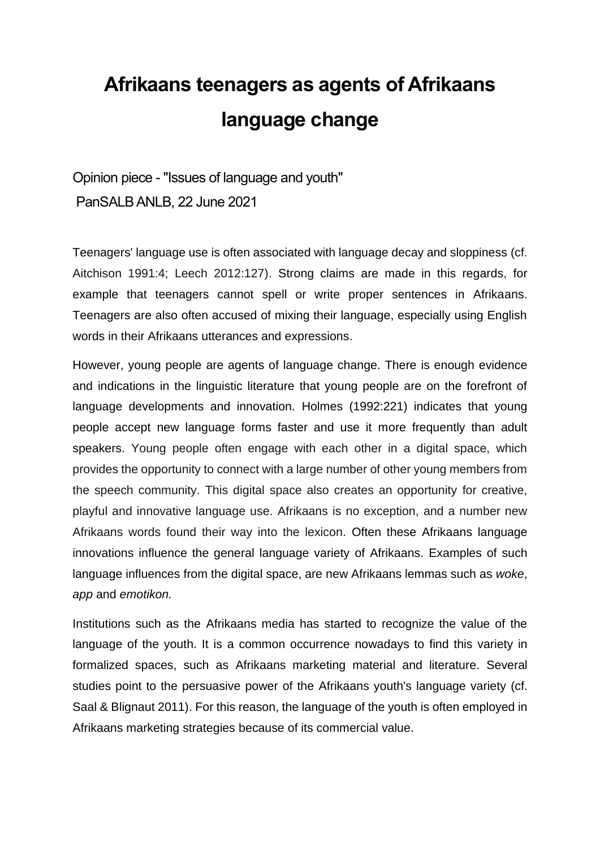## **Afrikaans teenagers as agents of Afrikaans language change**

Opinion piece - "Issues of language and youth" PanSALB ANLB, 22 June 2021

Teenagers' language use is often associated with language decay and sloppiness (cf. Aitchison 1991:4; Leech 2012:127). Strong claims are made in this regards, for example that teenagers cannot spell or write proper sentences in Afrikaans. Teenagers are also often accused of mixing their language, especially using English words in their Afrikaans utterances and expressions.

However, young people are agents of language change. There is enough evidence and indications in the linguistic literature that young people are on the forefront of language developments and innovation. Holmes (1992:221) indicates that young people accept new language forms faster and use it more frequently than adult speakers. Young people often engage with each other in a digital space, which provides the opportunity to connect with a large number of other young members from the speech community. This digital space also creates an opportunity for creative, playful and innovative language use. Afrikaans is no exception, and a number new Afrikaans words found their way into the lexicon. Often these Afrikaans language innovations influence the general language variety of Afrikaans. Examples of such language influences from the digital space, are new Afrikaans lemmas such as *woke*, *app* and *emotikon.* 

Institutions such as the Afrikaans media has started to recognize the value of the language of the youth. It is a common occurrence nowadays to find this variety in formalized spaces, such as Afrikaans marketing material and literature. Several studies point to the persuasive power of the Afrikaans youth's language variety (cf. Saal & Blignaut 2011). For this reason, the language of the youth is often employed in Afrikaans marketing strategies because of its commercial value.